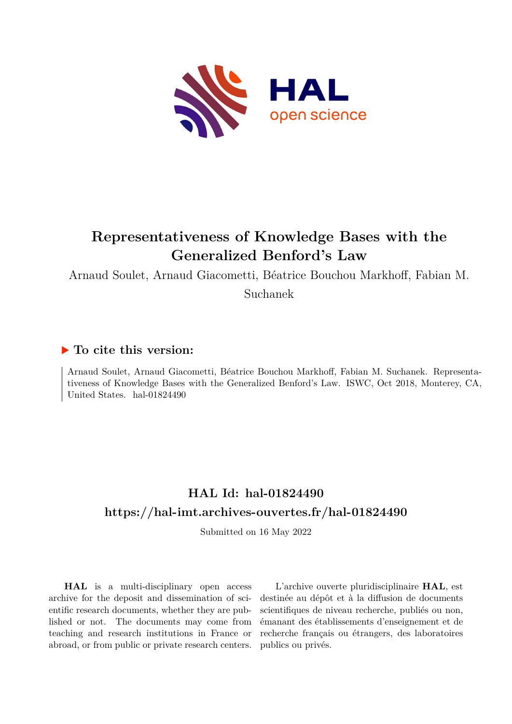

# **Representativeness of Knowledge Bases with the Generalized Benford's Law**

Arnaud Soulet, Arnaud Giacometti, Béatrice Bouchou Markhoff, Fabian M.

Suchanek

# **To cite this version:**

Arnaud Soulet, Arnaud Giacometti, Béatrice Bouchou Markhoff, Fabian M. Suchanek. Representativeness of Knowledge Bases with the Generalized Benford's Law. ISWC, Oct 2018, Monterey, CA, United States. hal-01824490

# **HAL Id: hal-01824490 <https://hal-imt.archives-ouvertes.fr/hal-01824490>**

Submitted on 16 May 2022

**HAL** is a multi-disciplinary open access archive for the deposit and dissemination of scientific research documents, whether they are published or not. The documents may come from teaching and research institutions in France or abroad, or from public or private research centers.

L'archive ouverte pluridisciplinaire **HAL**, est destinée au dépôt et à la diffusion de documents scientifiques de niveau recherche, publiés ou non, émanant des établissements d'enseignement et de recherche français ou étrangers, des laboratoires publics ou privés.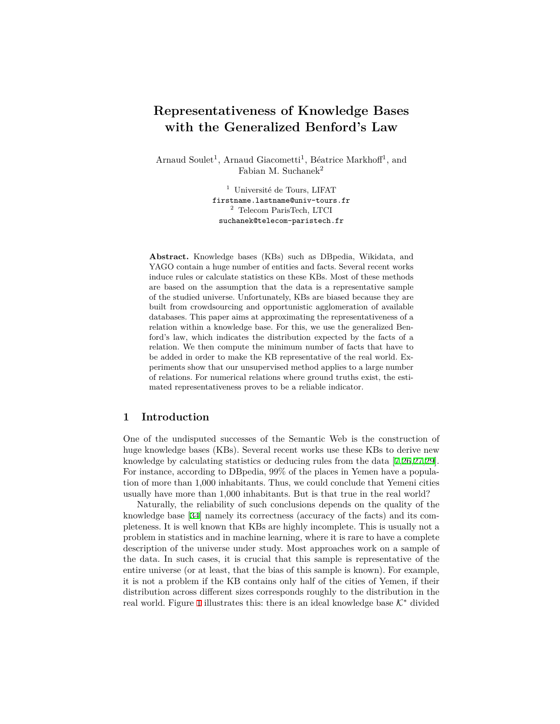# **Representativeness of Knowledge Bases with the Generalized Benford's Law**

Arnaud Soulet<sup>1</sup>, Arnaud Giacometti<sup>1</sup>, Béatrice Markhoff<sup>1</sup>, and Fabian M. Suchanek<sup>2</sup>

> <sup>1</sup> Université de Tours, LIFAT firstname.lastname@univ-tours.fr <sup>2</sup> Telecom ParisTech, LTCI suchanek@telecom-paristech.fr

**Abstract.** Knowledge bases (KBs) such as DBpedia, Wikidata, and YAGO contain a huge number of entities and facts. Several recent works induce rules or calculate statistics on these KBs. Most of these methods are based on the assumption that the data is a representative sample of the studied universe. Unfortunately, KBs are biased because they are built from crowdsourcing and opportunistic agglomeration of available databases. This paper aims at approximating the representativeness of a relation within a knowledge base. For this, we use the generalized Benford's law, which indicates the distribution expected by the facts of a relation. We then compute the minimum number of facts that have to be added in order to make the KB representative of the real world. Experiments show that our unsupervised method applies to a large number of relations. For numerical relations where ground truths exist, the estimated representativeness proves to be a reliable indicator.

# **1 Introduction**

One of the undisputed successes of the Semantic Web is the construction of huge knowledge bases (KBs). Several recent works use these KBs to derive new knowledge by calculating statistics or deducing rules from the data [7,26,27,29]. For instance, according to DBpedia, 99% of the places in Yemen have a population of more than 1,000 inhabitants. Thus, we could conclude that Yemeni cities usually have more than 1,000 inhabitants. But is that true in the real world?

Naturally, the reliability of such conclusions depends on the quality of the knowledge base [34] namely its correctness (accuracy of the facts) and its completeness. It is well known that KBs are highly incomplete. This is usually not a problem in statistics and in machine learning, where it is rare to have a complete description of the universe under study. Most approaches work on a sample of the data. In such cases, it is crucial that this sample is representative of the entire universe (or at least, that the bias of this sample is known). For example, it is not a problem if the KB contains only half of the cities of Yemen, if their distribution across different sizes corresponds roughly to the distribution in the real world. Figure 1 illustrates this: there is an ideal knowledge base  $K^*$  divided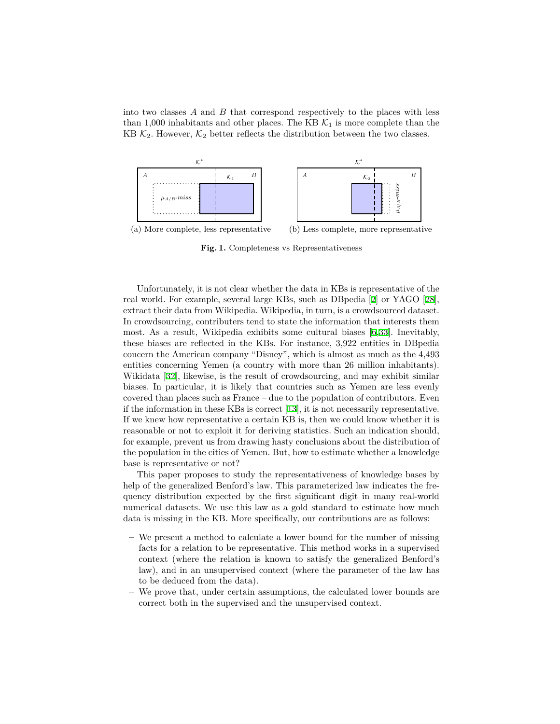into two classes *A* and *B* that correspond respectively to the places with less than 1,000 inhabitants and other places. The KB  $K_1$  is more complete than the KB  $K_2$ . However,  $K_2$  better reflects the distribution between the two classes.



**Fig. 1.** Completeness vs Representativeness

Unfortunately, it is not clear whether the data in KBs is representative of the real world. For example, several large KBs, such as DBpedia [2] or YAGO [28], extract their data from Wikipedia. Wikipedia, in turn, is a crowdsourced dataset. In crowdsourcing, contributers tend to state the information that interests them most. As a result, Wikipedia exhibits some cultural biases [6,33]. Inevitably, these biases are reflected in the KBs. For instance, 3,922 entities in DBpedia concern the American company "Disney", which is almost as much as the 4,493 entities concerning Yemen (a country with more than 26 million inhabitants). Wikidata [32], likewise, is the result of crowdsourcing, and may exhibit similar biases. In particular, it is likely that countries such as Yemen are less evenly covered than places such as France – due to the population of contributors. Even if the information in these KBs is correct [13], it is not necessarily representative. If we knew how representative a certain KB is, then we could know whether it is reasonable or not to exploit it for deriving statistics. Such an indication should, for example, prevent us from drawing hasty conclusions about the distribution of the population in the cities of Yemen. But, how to estimate whether a knowledge base is representative or not?

This paper proposes to study the representativeness of knowledge bases by help of the generalized Benford's law. This parameterized law indicates the frequency distribution expected by the first significant digit in many real-world numerical datasets. We use this law as a gold standard to estimate how much data is missing in the KB. More specifically, our contributions are as follows:

- **–** We present a method to calculate a lower bound for the number of missing facts for a relation to be representative. This method works in a supervised context (where the relation is known to satisfy the generalized Benford's law), and in an unsupervised context (where the parameter of the law has to be deduced from the data).
- **–** We prove that, under certain assumptions, the calculated lower bounds are correct both in the supervised and the unsupervised context.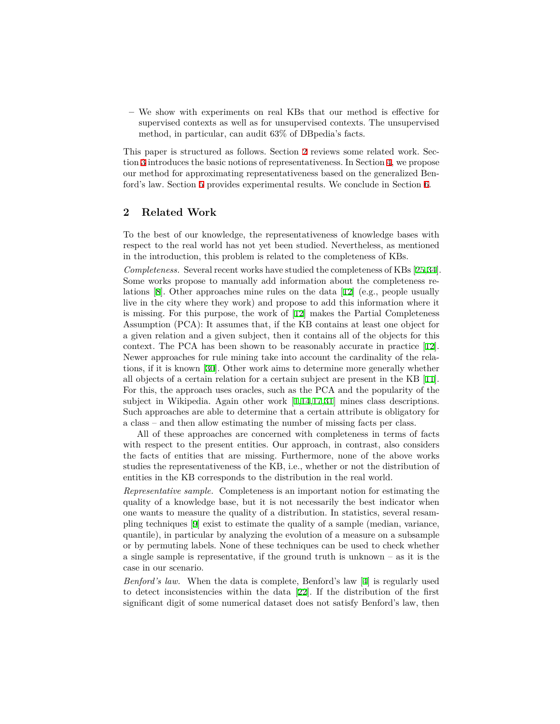**–** We show with experiments on real KBs that our method is effective for supervised contexts as well as for unsupervised contexts. The unsupervised method, in particular, can audit 63% of DBpedia's facts.

This paper is structured as follows. Section 2 reviews some related work. Section 3 introduces the basic notions of representativeness. In Section 4, we propose our method for approximating representativeness based on the generalized Benford's law. Section 5 provides experimental results. We conclude in Section 6.

## **2 Related Work**

To the best of our knowledge, the representativeness of knowledge bases with respect to the real world has not yet been studied. Nevertheless, as mentioned in the introduction, this problem is related to the completeness of KBs.

*Completeness.* Several recent works have studied the completeness of KBs [25,34]. Some works propose to manually add information about the completeness relations [8]. Other approaches mine rules on the data [12] (e.g., people usually live in the city where they work) and propose to add this information where it is missing. For this purpose, the work of [12] makes the Partial Completeness Assumption (PCA): It assumes that, if the KB contains at least one object for a given relation and a given subject, then it contains all of the objects for this context. The PCA has been shown to be reasonably accurate in practice [12]. Newer approaches for rule mining take into account the cardinality of the relations, if it is known [30]. Other work aims to determine more generally whether all objects of a certain relation for a certain subject are present in the KB [11]. For this, the approach uses oracles, such as the PCA and the popularity of the subject in Wikipedia. Again other work [1,14,17,31] mines class descriptions. Such approaches are able to determine that a certain attribute is obligatory for a class – and then allow estimating the number of missing facts per class.

All of these approaches are concerned with completeness in terms of facts with respect to the present entities. Our approach, in contrast, also considers the facts of entities that are missing. Furthermore, none of the above works studies the representativeness of the KB, i.e., whether or not the distribution of entities in the KB corresponds to the distribution in the real world.

*Representative sample.* Completeness is an important notion for estimating the quality of a knowledge base, but it is not necessarily the best indicator when one wants to measure the quality of a distribution. In statistics, several resampling techniques [9] exist to estimate the quality of a sample (median, variance, quantile), in particular by analyzing the evolution of a measure on a subsample or by permuting labels. None of these techniques can be used to check whether a single sample is representative, if the ground truth is unknown  $-$  as it is the case in our scenario.

*Benford's law.* When the data is complete, Benford's law [4] is regularly used to detect inconsistencies within the data [22]. If the distribution of the first significant digit of some numerical dataset does not satisfy Benford's law, then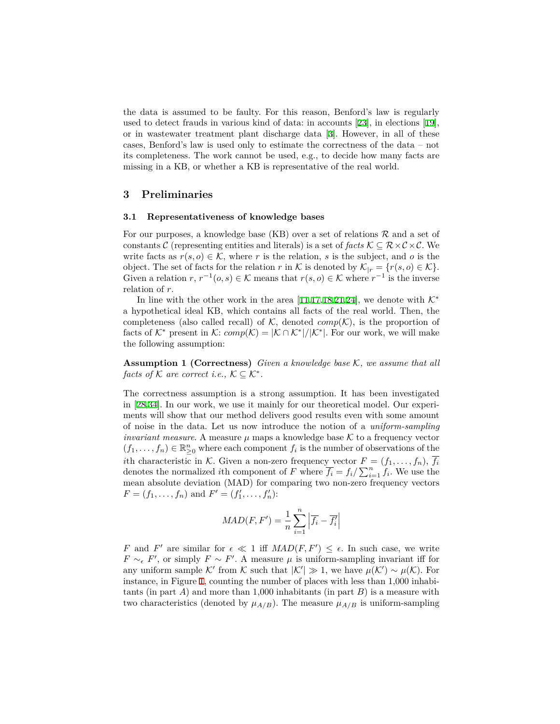the data is assumed to be faulty. For this reason, Benford's law is regularly used to detect frauds in various kind of data: in accounts [23], in elections [19], or in wastewater treatment plant discharge data [3]. However, in all of these cases, Benford's law is used only to estimate the correctness of the data – not its completeness. The work cannot be used, e.g., to decide how many facts are missing in a KB, or whether a KB is representative of the real world.

### **3 Preliminaries**

#### **3.1 Representativeness of knowledge bases**

For our purposes, a knowledge base (KB) over a set of relations *R* and a set of constants *C* (representing entities and literals) is a set of *facts*  $K \subseteq \mathcal{R} \times \mathcal{C} \times \mathcal{C}$ . We write facts as  $r(s, o) \in \mathcal{K}$ , where *r* is the relation, *s* is the subject, and *o* is the object. The set of facts for the relation *r* in  $K$  is denoted by  $K_{|r} = \{r(s, o) \in K\}.$ Given a relation  $r, r^{-1}(o, s) \in \mathcal{K}$  means that  $r(s, o) \in \mathcal{K}$  where  $r^{-1}$  is the inverse relation of *r*.

In line with the other work in the area [11,17,18,21,24], we denote with  $K^*$ a hypothetical ideal KB, which contains all facts of the real world. Then, the completeness (also called recall) of  $K$ , denoted  $comp(K)$ , is the proportion of facts of  $K^*$  present in  $K: comp(K) = |K \cap K^*|/|K^*|$ . For our work, we will make the following assumption:

**Assumption 1 (Correctness)** *Given a knowledge base K, we assume that all facts of*  $K$  *are correct i.e.,*  $K \subseteq K^*$ *.* 

The correctness assumption is a strong assumption. It has been investigated in [28,34]. In our work, we use it mainly for our theoretical model. Our experiments will show that our method delivers good results even with some amount of noise in the data. Let us now introduce the notion of a *uniform-sampling invariant measure*. A measure  $\mu$  maps a knowledge base  $K$  to a frequency vector  $(f_1, \ldots, f_n) \in \mathbb{R}^n_{\geq 0}$  where each component  $f_i$  is the number of observations of the *i*th characteristic in *K*. Given a non-zero frequency vector  $F = (f_1, \ldots, f_n)$ ,  $f_i$ denotes the normalized *i*th component of *F* where  $f_i = f_i / \sum_{i=1}^n f_i$ . We use the mean absolute deviation (MAD) for comparing two non-zero frequency vectors  $F = (f_1, \ldots, f_n)$  and  $F' = (f'_1, \ldots, f'_n)$ :

$$
MAD(F, F') = \frac{1}{n} \sum_{i=1}^{n} \left| \overline{f_i} - \overline{f'_i} \right|
$$

*F* and *F'* are similar for  $\epsilon \ll 1$  iff  $MAD(F, F') \leq \epsilon$ . In such case, we write *F*  $\sim$ <sub>*∈*</sub> *F*', or simply *F*  $\sim$  *F*'. A measure  $\mu$  is uniform-sampling invariant iff for any uniform sample  $K'$  from  $K$  such that  $|K'| \gg 1$ , we have  $\mu(K') \sim \mu(K)$ . For instance, in Figure 1, counting the number of places with less than 1,000 inhabitants (in part *A*) and more than 1,000 inhabitants (in part *B*) is a measure with two characteristics (denoted by  $\mu_{A/B}$ ). The measure  $\mu_{A/B}$  is uniform-sampling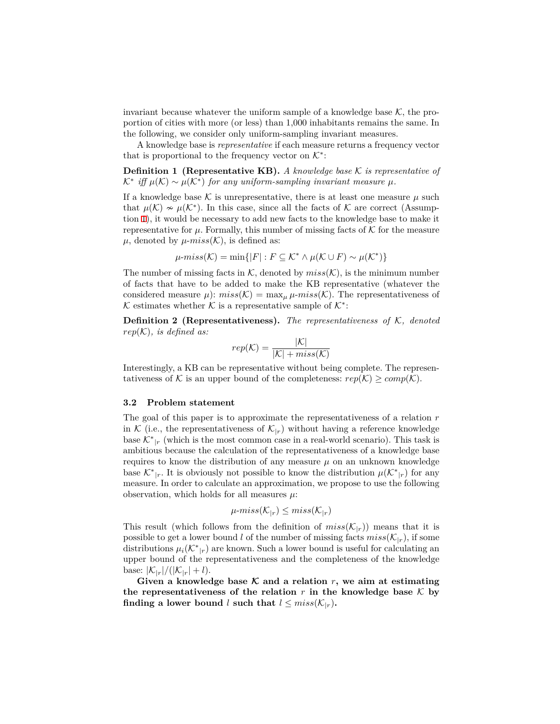invariant because whatever the uniform sample of a knowledge base  $K$ , the proportion of cities with more (or less) than 1,000 inhabitants remains the same. In the following, we consider only uniform-sampling invariant measures.

A knowledge base is *representative* if each measure returns a frequency vector that is proportional to the frequency vector on  $K^*$ :

# **Definition 1 (Representative KB).** *A knowledge base K is representative of*  $K^*$  *iff*  $\mu(K) \sim \mu(K^*)$  for any uniform-sampling invariant measure  $\mu$ *.*

If a knowledge base K is unrepresentative, there is at least one measure  $\mu$  such that  $\mu(\mathcal{K}) \sim \mu(\mathcal{K}^*)$ . In this case, since all the facts of  $\mathcal K$  are correct (Assumption 1), it would be necessary to add new facts to the knowledge base to make it representative for  $\mu$ . Formally, this number of missing facts of  $\mathcal K$  for the measure  $\mu$ , denoted by  $\mu$ - $miss(K)$ , is defined as:

$$
\mu\text{-}miss(\mathcal{K}) = \min\{|F| : F \subseteq \mathcal{K}^* \land \mu(\mathcal{K} \cup F) \sim \mu(\mathcal{K}^*)\}
$$

The number of missing facts in  $K$ , denoted by  $miss(K)$ , is the minimum number of facts that have to be added to make the KB representative (whatever the considered measure  $\mu$ ):  $miss(\mathcal{K}) = \max_{\mu} \mu \text{-}miss(\mathcal{K})$ . The representativeness of *K* estimates whether *K* is a representative sample of *K<sup>∗</sup>* :

**Definition 2 (Representativeness).** *The representativeness of K, denoted*  $rep(K)$ *, is defined as:* 

$$
rep(\mathcal{K}) = \frac{|\mathcal{K}|}{|\mathcal{K}| + miss(\mathcal{K})}
$$

Interestingly, a KB can be representative without being complete. The representativeness of  $K$  is an upper bound of the completeness:  $rep(K) \geq comp(K)$ .

#### **3.2 Problem statement**

The goal of this paper is to approximate the representativeness of a relation *r* in *K* (i.e., the representativeness of  $K_{|r}$ ) without having a reference knowledge base  $K^*_{\ \ |r}$  (which is the most common case in a real-world scenario). This task is ambitious because the calculation of the representativeness of a knowledge base requires to know the distribution of any measure  $\mu$  on an unknown knowledge base  $K^*_{\vert r}$ . It is obviously not possible to know the distribution  $\mu(\mathcal{K}^*_{\vert r})$  for any measure. In order to calculate an approximation, we propose to use the following observation, which holds for all measures *µ*:

$$
\mu\text{-}miss(\mathcal{K}_{|r}) \leq miss(\mathcal{K}_{|r})
$$

This result (which follows from the definition of  $miss(\mathcal{K}_{r})$ ) means that it is possible to get a lower bound *l* of the number of missing facts  $miss(\mathcal{K}|_r)$ , if some distributions  $\mu_i(\mathcal{K}^*|_{r})$  are known. Such a lower bound is useful for calculating an upper bound of the representativeness and the completeness of the knowledge base:  $|\mathcal{K}_{|r}|/(|\mathcal{K}_{|r}|+l).$ 

Given a knowledge base  $K$  and a relation  $r$ , we aim at estimating the representativeness of the relation  $r$  in the knowledge base  $K$  by **finding a lower bound** *l* **such that**  $l \leq miss(\mathcal{K}_{r})$ .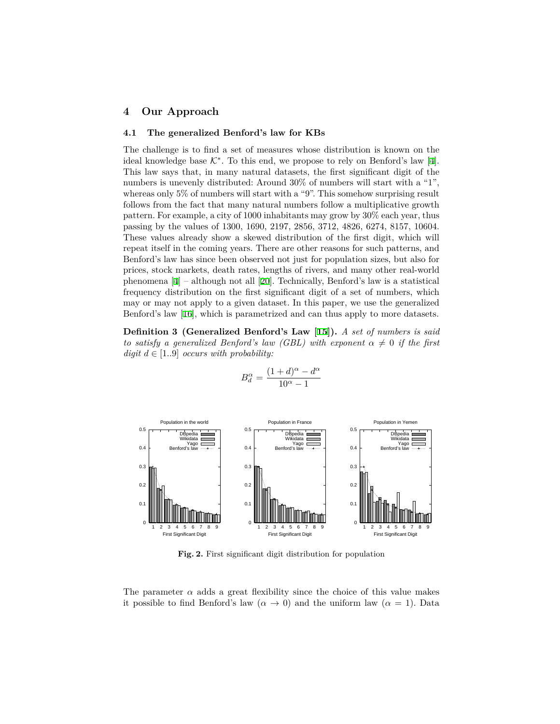# **4 Our Approach**

#### **4.1 The generalized Benford's law for KBs**

The challenge is to find a set of measures whose distribution is known on the ideal knowledge base *K<sup>∗</sup>* . To this end, we propose to rely on Benford's law [4]. This law says that, in many natural datasets, the first significant digit of the numbers is unevenly distributed: Around 30% of numbers will start with a "1", whereas only 5% of numbers will start with a "9". This somehow surprising result follows from the fact that many natural numbers follow a multiplicative growth pattern. For example, a city of 1000 inhabitants may grow by 30% each year, thus passing by the values of 1300, 1690, 2197, 2856, 3712, 4826, 6274, 8157, 10604. These values already show a skewed distribution of the first digit, which will repeat itself in the coming years. There are other reasons for such patterns, and Benford's law has since been observed not just for population sizes, but also for prices, stock markets, death rates, lengths of rivers, and many other real-world phenomena [4] – although not all [20]. Technically, Benford's law is a statistical frequency distribution on the first significant digit of a set of numbers, which may or may not apply to a given dataset. In this paper, we use the generalized Benford's law [16], which is parametrized and can thus apply to more datasets.

**Definition 3 (Generalized Benford's Law [15]).** *A set of numbers is said to satisfy a generalized Benford's law (GBL) with exponent*  $\alpha \neq 0$  *if the first digit*  $d \in [1..9]$  *occurs with probability:* 

$$
B_d^\alpha = \frac{(1+d)^\alpha - d^\alpha}{10^\alpha - 1}
$$



**Fig. 2.** First significant digit distribution for population

The parameter  $\alpha$  adds a great flexibility since the choice of this value makes it possible to find Benford's law  $(\alpha \rightarrow 0)$  and the uniform law  $(\alpha = 1)$ . Data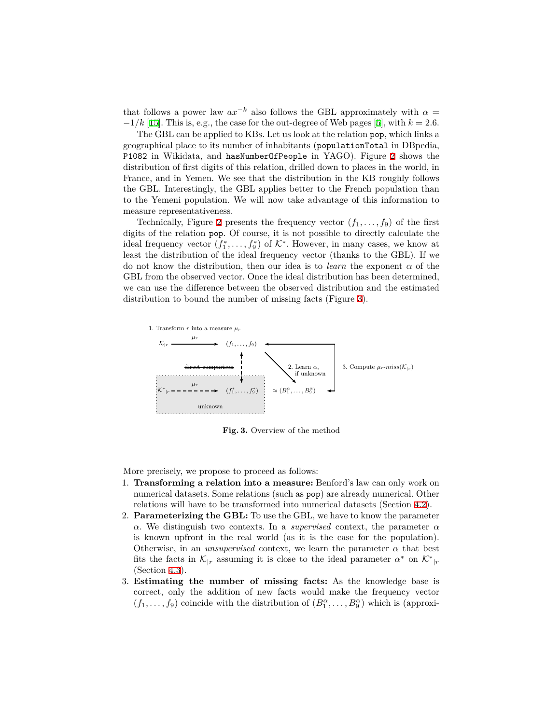that follows a power law  $ax^{-k}$  also follows the GBL approximately with  $\alpha =$ *−*<sup>1</sup>/ $k$  [15]. This is, e.g., the case for the out-degree of Web pages [5], with  $k = 2.6$ .

The GBL can be applied to KBs. Let us look at the relation pop, which links a geographical place to its number of inhabitants (populationTotal in DBpedia, P1082 in Wikidata, and hasNumberOfPeople in YAGO). Figure 2 shows the distribution of first digits of this relation, drilled down to places in the world, in France, and in Yemen. We see that the distribution in the KB roughly follows the GBL. Interestingly, the GBL applies better to the French population than to the Yemeni population. We will now take advantage of this information to measure representativeness.

Technically, Figure 2 presents the frequency vector  $(f_1, \ldots, f_9)$  of the first digits of the relation pop. Of course, it is not possible to directly calculate the ideal frequency vector  $(f_1^*, \ldots, f_9^*)$  of  $K^*$ . However, in many cases, we know at least the distribution of the ideal frequency vector (thanks to the GBL). If we do not know the distribution, then our idea is to *learn* the exponent *α* of the GBL from the observed vector. Once the ideal distribution has been determined, we can use the difference between the observed distribution and the estimated distribution to bound the number of missing facts (Figure 3).



**Fig. 3.** Overview of the method

More precisely, we propose to proceed as follows:

- 1. **Transforming a relation into a measure:** Benford's law can only work on numerical datasets. Some relations (such as pop) are already numerical. Other relations will have to be transformed into numerical datasets (Section 4.2).
- 2. **Parameterizing the GBL:** To use the GBL, we have to know the parameter *α*. We distinguish two contexts. In a *supervised* context, the parameter *α* is known upfront in the real world (as it is the case for the population). Otherwise, in an *unsupervised* context, we learn the parameter  $\alpha$  that best fits the facts in  $\mathcal{K}_{|r}$  assuming it is close to the ideal parameter  $\alpha^*$  on  $\mathcal{K}^*_{|r}$ (Section 4.3).
- 3. **Estimating the number of missing facts:** As the knowledge base is correct, only the addition of new facts would make the frequency vector  $(f_1, \ldots, f_9)$  coincide with the distribution of  $(B_1^{\alpha}, \ldots, B_9^{\alpha})$  which is (approxi-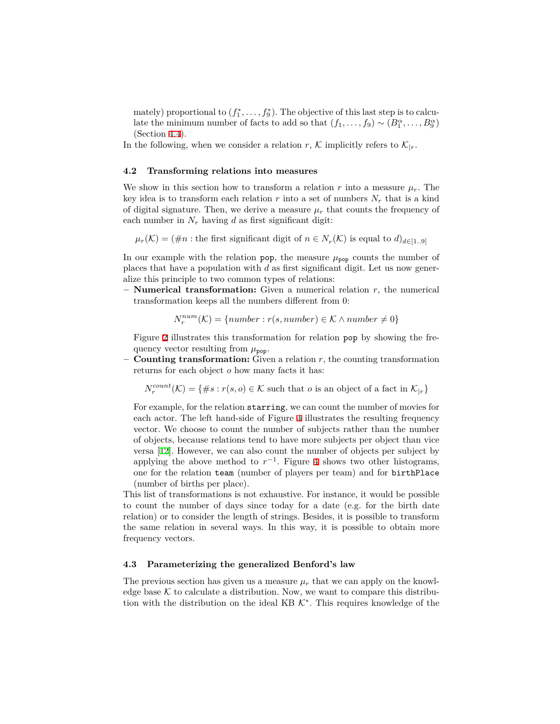mately) proportional to  $(f_1^*, \ldots, f_9^*)$ . The objective of this last step is to calculate the minimum number of facts to add so that  $(f_1, \ldots, f_9) \sim (B_1^{\alpha}, \ldots, B_9^{\alpha})$ (Section 4.4).

In the following, when we consider a relation  $r$ ,  $K$  implicitly refers to  $K_{|r}$ .

#### **4.2 Transforming relations into measures**

We show in this section how to transform a relation  $r$  into a measure  $\mu_r$ . The key idea is to transform each relation  $r$  into a set of numbers  $N_r$  that is a kind of digital signature. Then, we derive a measure  $\mu_r$  that counts the frequency of each number in  $N_r$  having  $d$  as first significant digit:

 $\mu_r(\mathcal{K}) = (\#n : \text{the first significant digit of } n \in N_r(\mathcal{K}) \text{ is equal to } d)_{d \in [1..9]}$ 

In our example with the relation pop, the measure  $\mu_{\text{pop}}$  counts the number of places that have a population with *d* as first significant digit. Let us now generalize this principle to two common types of relations:

**– Numerical transformation:** Given a numerical relation *r*, the numerical transformation keeps all the numbers different from 0:

$$
N^{num}_r(\mathcal{K})=\{number:r(s,number)\in \mathcal{K} \wedge number\neq 0\}
$$

Figure 2 illustrates this transformation for relation pop by showing the frequency vector resulting from  $\mu_{\text{pop}}$ .

**– Counting transformation:** Given a relation *r*, the counting transformation returns for each object *o* how many facts it has:

 $N_r^{count}(\mathcal{K}) = \{ \#s : r(s, o) \in \mathcal{K} \text{ such that } o \text{ is an object of a fact in } \mathcal{K}_{|r}\}$ 

For example, for the relation starring, we can count the number of movies for each actor. The left hand-side of Figure 4 illustrates the resulting frequency vector. We choose to count the number of subjects rather than the number of objects, because relations tend to have more subjects per object than vice versa [12]. However, we can also count the number of objects per subject by applying the above method to  $r^{-1}$ . Figure 4 shows two other histograms, one for the relation team (number of players per team) and for birthPlace (number of births per place).

This list of transformations is not exhaustive. For instance, it would be possible to count the number of days since today for a date (e.g. for the birth date relation) or to consider the length of strings. Besides, it is possible to transform the same relation in several ways. In this way, it is possible to obtain more frequency vectors.

#### **4.3 Parameterizing the generalized Benford's law**

The previous section has given us a measure  $\mu_r$  that we can apply on the knowledge base  $K$  to calculate a distribution. Now, we want to compare this distribution with the distribution on the ideal KB *K<sup>∗</sup>* . This requires knowledge of the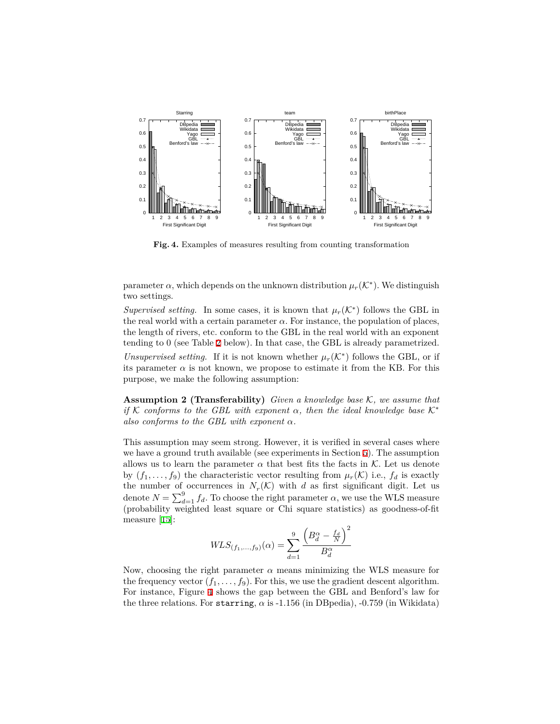

**Fig. 4.** Examples of measures resulting from counting transformation

parameter  $\alpha$ , which depends on the unknown distribution  $\mu_r(\mathcal{K}^*)$ . We distinguish two settings.

*Supervised setting.* In some cases, it is known that  $\mu_r(\mathcal{K}^*)$  follows the GBL in the real world with a certain parameter  $\alpha$ . For instance, the population of places, the length of rivers, etc. conform to the GBL in the real world with an exponent tending to 0 (see Table 2 below). In that case, the GBL is already parametrized.

*Unsupervised setting.* If it is not known whether  $\mu_r(\mathcal{K}^*)$  follows the GBL, or if its parameter  $\alpha$  is not known, we propose to estimate it from the KB. For this purpose, we make the following assumption:

**Assumption 2 (Transferability)** *Given a knowledge base K, we assume that if K conforms to the GBL with exponent α, then the ideal knowledge base K<sup>∗</sup> also conforms to the GBL with exponent α.*

This assumption may seem strong. However, it is verified in several cases where we have a ground truth available (see experiments in Section 5). The assumption allows us to learn the parameter  $\alpha$  that best fits the facts in  $K$ . Let us denote by  $(f_1, \ldots, f_9)$  the characteristic vector resulting from  $\mu_r(\mathcal{K})$  i.e.,  $f_d$  is exactly the number of occurrences in  $N_r(\mathcal{K})$  with *d* as first significant digit. Let us denote  $N = \sum_{d=1}^{9} f_d$ . To choose the right parameter  $\alpha$ , we use the WLS measure (probability weighted least square or Chi square statistics) as goodness-of-fit measure [15]:

$$
WLS_{(f_1,...,f_9)}(\alpha) = \sum_{d=1}^{9} \frac{\left(B_d^{\alpha} - \frac{f_d}{N}\right)^2}{B_d^{\alpha}}
$$

Now, choosing the right parameter  $\alpha$  means minimizing the WLS measure for the frequency vector  $(f_1, \ldots, f_9)$ . For this, we use the gradient descent algorithm. For instance, Figure 4 shows the gap between the GBL and Benford's law for the three relations. For starring,  $\alpha$  is -1.156 (in DB pedia), -0.759 (in Wikidata)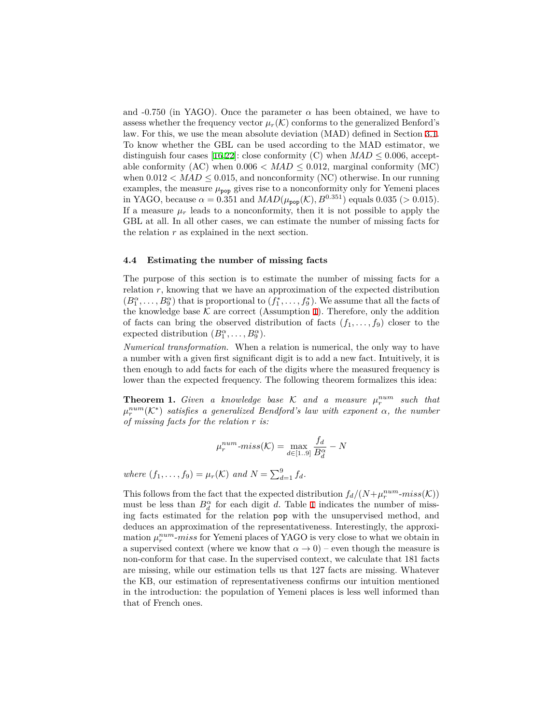and  $-0.750$  (in YAGO). Once the parameter  $\alpha$  has been obtained, we have to assess whether the frequency vector  $\mu_r(\mathcal{K})$  conforms to the generalized Benford's law. For this, we use the mean absolute deviation (MAD) defined in Section 3.1. To know whether the GBL can be used according to the MAD estimator, we distinguish four cases [16,22]: close conformity (C) when  $MAD \leq 0.006$ , acceptable conformity (AC) when  $0.006 < MAD \leq 0.012$ , marginal conformity (MC) when  $0.012 < MAD \leq 0.015$ , and nonconformity (NC) otherwise. In our running examples, the measure  $\mu_{\text{pop}}$  gives rise to a nonconformity only for Yemeni places in YAGO, because  $\alpha = 0.351$  and  $MAD(\mu_{\text{pop}}(\mathcal{K}), B^{0.351})$  equals  $0.035$  ( $> 0.015$ ). If a measure  $\mu_r$  leads to a nonconformity, then it is not possible to apply the GBL at all. In all other cases, we can estimate the number of missing facts for the relation *r* as explained in the next section.

#### **4.4 Estimating the number of missing facts**

The purpose of this section is to estimate the number of missing facts for a relation *r*, knowing that we have an approximation of the expected distribution  $(B_1^{\alpha}, \ldots, B_9^{\alpha})$  that is proportional to  $(f_1^*, \ldots, f_9^*)$ . We assume that all the facts of the knowledge base  $K$  are correct (Assumption 1). Therefore, only the addition of facts can bring the observed distribution of facts  $(f_1, \ldots, f_9)$  closer to the expected distribution  $(B_1^{\alpha}, \ldots, B_9^{\alpha}).$ 

*Numerical transformation.* When a relation is numerical, the only way to have a number with a given first significant digit is to add a new fact. Intuitively, it is then enough to add facts for each of the digits where the measured frequency is lower than the expected frequency. The following theorem formalizes this idea:

**Theorem 1.** *Given a knowledge base*  $K$  *and a measure*  $\mu_r^{num}$  *such that*  $\mu_r^{num}(\mathcal{K}^*)$  *satisfies a generalized Bendford's law with exponent*  $\alpha$ *, the number of missing facts for the relation r is:*

$$
\mu_r^{num}\text{-}miss(\mathcal{K}) = \max_{d \in [1..9]} \frac{f_d}{B_d^{\alpha}} - N
$$

 $where (f_1, ..., f_9) = \mu_r(\mathcal{K}) \text{ and } N = \sum_{d=1}^9 f_d.$ 

This follows from the fact that the expected distribution  $f_d/(N+\mu_r^{num}\text{-}miss(\mathcal{K}))$ must be less than  $B_d^{\alpha}$  for each digit *d*. Table 1 indicates the number of missing facts estimated for the relation pop with the unsupervised method, and deduces an approximation of the representativeness. Interestingly, the approxi- $\mu_r^{num}\text{-}miss$  for Yemeni places of YAGO is very close to what we obtain in a supervised context (where we know that  $\alpha \to 0$ ) – even though the measure is non-conform for that case. In the supervised context, we calculate that 181 facts are missing, while our estimation tells us that 127 facts are missing. Whatever the KB, our estimation of representativeness confirms our intuition mentioned in the introduction: the population of Yemeni places is less well informed than that of French ones.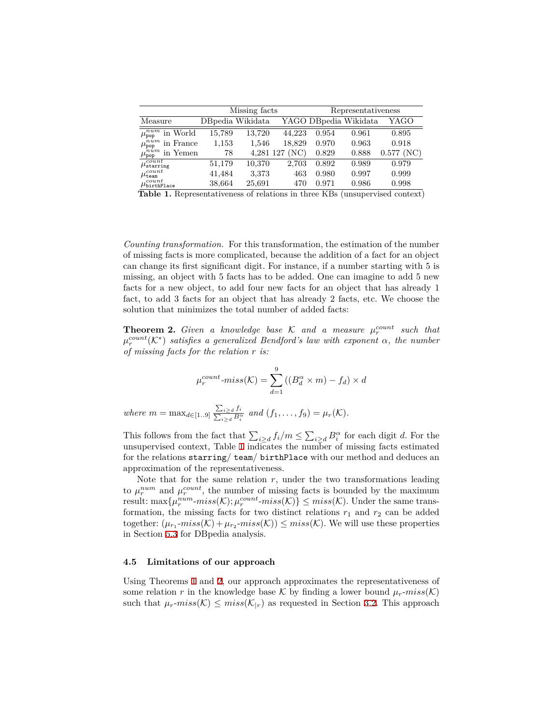|                                                 |        | Missing facts               |                                        | Representativeness |                       |                                                     |  |
|-------------------------------------------------|--------|-----------------------------|----------------------------------------|--------------------|-----------------------|-----------------------------------------------------|--|
| Measure                                         |        | DBpedia Wikidata            |                                        |                    | YAGO DBpedia Wikidata | YAGO                                                |  |
| $\overline{\mu^{num}_{\text{pop}}}$<br>in World | 15,789 | 13,720                      | 44.223                                 | 0.954              | 0.961                 | 0.895                                               |  |
| $\mu_\mathsf{pop}^{num}$<br>in France           | 1,153  | 1,546                       | 18,829                                 | 0.970              | 0.963                 | 0.918                                               |  |
| $\mu_\mathsf{pop}^{num}$<br>in Yemen            | 78     | 4,281 127                   | (NC)                                   | 0.829              | 0.888                 | $0.577$ (NC)                                        |  |
| $\overline{\mu_{\text{starring}}^{count}}$      | 51,179 | 10,370                      | 2,703                                  | 0.892              | 0.989                 | 0.979                                               |  |
| $\mu_{\text{team}}^{\textit{count}}$            | 41,484 | 3,373                       | 463                                    | 0.980              | 0.997                 | 0.999                                               |  |
| $\mu_{\tt birthPlace}^{count}$<br>m 11 - n      | 38,664 | 25,691<br>$\alpha$ $\alpha$ | 470<br>$\cdot$ $\cdot$ $\cdot$ $\cdot$ | 0.971<br>T/T       | 0.986                 | 0.998<br>$\mathbf{r}$ , $\mathbf{r}$ , $\mathbf{r}$ |  |

**Table 1.** Representativeness of relations in three KBs (unsupervised context)

*Counting transformation.* For this transformation, the estimation of the number of missing facts is more complicated, because the addition of a fact for an object can change its first significant digit. For instance, if a number starting with 5 is missing, an object with 5 facts has to be added. One can imagine to add 5 new facts for a new object, to add four new facts for an object that has already 1 fact, to add 3 facts for an object that has already 2 facts, etc. We choose the solution that minimizes the total number of added facts:

**Theorem 2.** *Given a knowledge base*  $K$  *and a measure*  $\mu_r^{count}$  *such that µ count r* (*K<sup>∗</sup>* ) *satisfies a generalized Bendford's law with exponent α, the number of missing facts for the relation r is:*

$$
\mu_r^{count}\text{-}miss(K) = \sum_{d=1}^{9} ((B_d^{\alpha} \times m) - f_d) \times d
$$

 $where m = \max_{d \in [1..9]} \frac{\sum_{i \geq d} f_i}{\sum_{i \geq d} B_i^c}$  $\mu_i \geq d^{j_i}$  and  $(f_1, \ldots, f_9) = \mu_r(\mathcal{K})$ .

This follows from the fact that  $\sum_{i\geq d} f_i/m \leq \sum_{i\geq d} B_i^{\alpha}$  for each digit *d*. For the unsupervised context, Table 1 indicates the number of missing facts estimated for the relations starring/ team/ birthPlace with our method and deduces an approximation of the representativeness.

Note that for the same relation  $r$ , under the two transformations leading to  $\mu_r^{num}$  and  $\mu_r^{count}$ , the number of missing facts is bounded by the maximum  ${\rm result: max}\{\mu_r^{num}\text{-}miss(\mathcal{K}); \mu_r^{count}\text{-}miss(\mathcal{K})\}\leq miss(\mathcal{K})$ . Under the same transformation, the missing facts for two distinct relations  $r_1$  and  $r_2$  can be added together:  $(\mu_{r_1} - miss(K) + \mu_{r_2} - miss(K)) \leq miss(K)$ . We will use these properties in Section 5.3 for DBpedia analysis.

#### **4.5 Limitations of our approach**

Using Theorems 1 and 2, our approach approximates the representativeness of some relation *r* in the knowledge base *K* by finding a lower bound  $\mu_r$ - $miss(K)$ such that  $\mu_r$ - $miss(\mathcal{K}) \leq miss(\mathcal{K}_{r})$  as requested in Section 3.2. This approach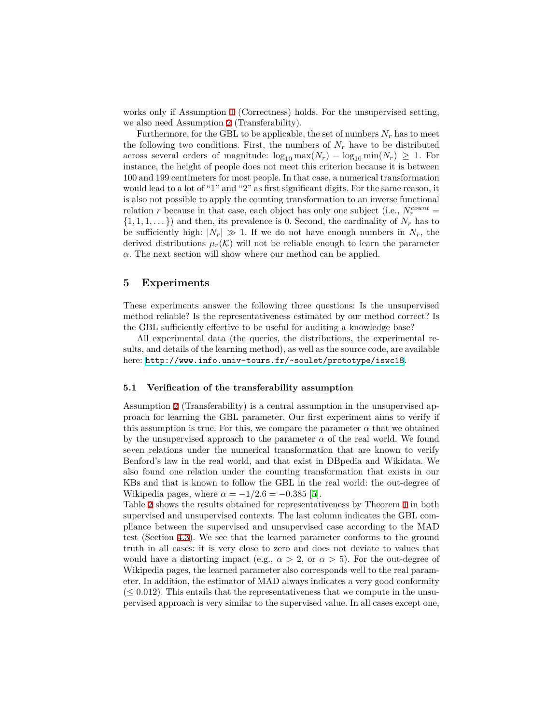works only if Assumption 1 (Correctness) holds. For the unsupervised setting, we also need Assumption 2 (Transferability).

Furthermore, for the GBL to be applicable, the set of numbers  $N_r$  has to meet the following two conditions. First, the numbers of  $N_r$  have to be distributed across several orders of magnitude:  $\log_{10} \max(N_r) - \log_{10} \min(N_r) \geq 1$ . For instance, the height of people does not meet this criterion because it is between 100 and 199 centimeters for most people. In that case, a numerical transformation would lead to a lot of "1" and "2" as first significant digits. For the same reason, it is also not possible to apply the counting transformation to an inverse functional relation *r* because in that case, each object has only one subject (i.e.,  $N_r^{count} =$  $\{1, 1, 1, \ldots\}$  and then, its prevalence is 0. Second, the cardinality of  $N_r$  has to be sufficiently high:  $|N_r| \gg 1$ . If we do not have enough numbers in  $N_r$ , the derived distributions  $\mu_r(\mathcal{K})$  will not be reliable enough to learn the parameter *α*. The next section will show where our method can be applied.

## **5 Experiments**

These experiments answer the following three questions: Is the unsupervised method reliable? Is the representativeness estimated by our method correct? Is the GBL sufficiently effective to be useful for auditing a knowledge base?

All experimental data (the queries, the distributions, the experimental results, and details of the learning method), as well as the source code, are available here: <http://www.info.univ-tours.fr/~soulet/prototype/iswc18>.

#### **5.1 Verification of the transferability assumption**

Assumption 2 (Transferability) is a central assumption in the unsupervised approach for learning the GBL parameter. Our first experiment aims to verify if this assumption is true. For this, we compare the parameter  $\alpha$  that we obtained by the unsupervised approach to the parameter  $\alpha$  of the real world. We found seven relations under the numerical transformation that are known to verify Benford's law in the real world, and that exist in DBpedia and Wikidata. We also found one relation under the counting transformation that exists in our KBs and that is known to follow the GBL in the real world: the out-degree of Wikipedia pages, where  $\alpha = -1/2.6 = -0.385$  [5].

Table 2 shows the results obtained for representativeness by Theorem 1 in both supervised and unsupervised contexts. The last column indicates the GBL compliance between the supervised and unsupervised case according to the MAD test (Section 4.3). We see that the learned parameter conforms to the ground truth in all cases: it is very close to zero and does not deviate to values that would have a distorting impact (e.g.,  $\alpha > 2$ , or  $\alpha > 5$ ). For the out-degree of Wikipedia pages, the learned parameter also corresponds well to the real parameter. In addition, the estimator of MAD always indicates a very good conformity  $(\leq 0.012)$ . This entails that the representativeness that we compute in the unsupervised approach is very similar to the supervised value. In all cases except one,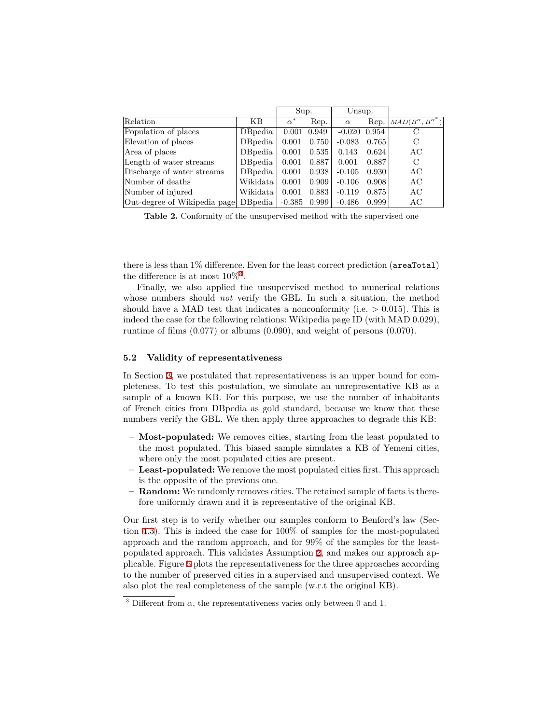|                              |          | Sup.       |       | Unsup.   |       |                                        |
|------------------------------|----------|------------|-------|----------|-------|----------------------------------------|
| Relation                     | KB       | $\alpha^*$ | Rep.  | $\alpha$ |       | Rep. $ MAD(B^{\alpha}, B^{\alpha^*}) $ |
| Population of places         | DBpedia  | 0.001      | 0.949 | $-0.020$ | 0.954 | C                                      |
| Elevation of places          | DBpedia  | 0.001      | 0.750 | $-0.083$ | 0.765 | C                                      |
| Area of places               | DBpedia  | 0.001      | 0.535 | 0.143    | 0.624 | AС                                     |
| Length of water streams      | DBpedia  | 0.001      | 0.887 | 0.001    | 0.887 | C                                      |
| Discharge of water streams   | DBpedia  | 0.001      | 0.938 | $-0.105$ | 0.930 | AС                                     |
| Number of deaths             | Wikidata | 0.001      | 0.909 | $-0.106$ | 0.908 | AС                                     |
| Number of injured            | Wikidata | 0.001      | 0.883 | $-0.119$ | 0.875 | AС                                     |
| Out-degree of Wikipedia page | DBpedia  | $-0.385$   | 0.999 | $-0.486$ | 0.999 | AС                                     |

**Table 2.** Conformity of the unsupervised method with the supervised one

there is less than 1% difference. Even for the least correct prediction (areaTotal) the difference is at most  $10\%$ <sup>3</sup>.

Finally, we also applied the unsupervised method to numerical relations whose numbers should *not* verify the GBL. In such a situation, the method should have a MAD test that indicates a nonconformity (i.e. *>* 0*.*015). This is indeed the case for the following relations: Wikipedia page ID (with MAD 0.029), runtime of films (0.077) or albums (0.090), and weight of persons (0.070).

#### **5.2 Validity of representativeness**

In Section 3, we postulated that representativeness is an upper bound for completeness. To test this postulation, we simulate an unrepresentative KB as a sample of a known KB. For this purpose, we use the number of inhabitants of French cities from DBpedia as gold standard, because we know that these numbers verify the GBL. We then apply three approaches to degrade this KB:

- **– Most-populated:** We removes cities, starting from the least populated to the most populated. This biased sample simulates a KB of Yemeni cities, where only the most populated cities are present.
- **– Least-populated:** We remove the most populated cities first. This approach is the opposite of the previous one.
- **– Random:** We randomly removes cities. The retained sample of facts is therefore uniformly drawn and it is representative of the original KB.

Our first step is to verify whether our samples conform to Benford's law (Section 4.3). This is indeed the case for 100% of samples for the most-populated approach and the random approach, and for 99% of the samples for the leastpopulated approach. This validates Assumption 2, and makes our approach applicable. Figure 5 plots the representativeness for the three approaches according to the number of preserved cities in a supervised and unsupervised context. We also plot the real completeness of the sample (w.r.t the original KB).

<sup>&</sup>lt;sup>3</sup> Different from  $\alpha$ , the representativeness varies only between 0 and 1.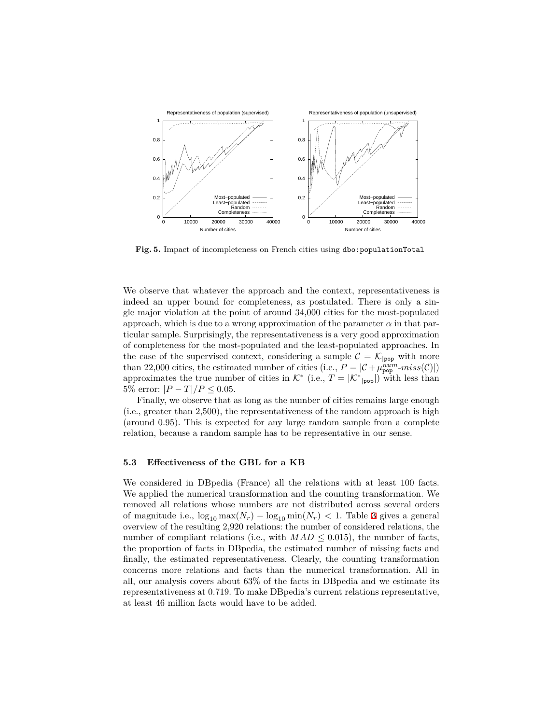

**Fig. 5.** Impact of incompleteness on French cities using dbo:populationTotal

We observe that whatever the approach and the context, representativeness is indeed an upper bound for completeness, as postulated. There is only a single major violation at the point of around 34,000 cities for the most-populated approach, which is due to a wrong approximation of the parameter  $\alpha$  in that particular sample. Surprisingly, the representativeness is a very good approximation of completeness for the most-populated and the least-populated approaches. In the case of the supervised context, considering a sample  $C = \mathcal{K}_{\text{pop}}$  with more than 22,000 cities, the estimated number of cities (i.e.,  $P = |\mathcal{C} + \mu_{\text{pop}}^{num} \text{-}miss(\mathcal{C})|$ ) approximates the true number of cities in  $\mathcal{K}^*$  (i.e.,  $T = |\mathcal{K}^*|_{\text{pop}}|$ ) with less than 5% error:  $|P - T|/P \le 0.05$ .

Finally, we observe that as long as the number of cities remains large enough (i.e., greater than 2,500), the representativeness of the random approach is high (around 0.95). This is expected for any large random sample from a complete relation, because a random sample has to be representative in our sense.

#### **5.3 Effectiveness of the GBL for a KB**

We considered in DBpedia (France) all the relations with at least 100 facts. We applied the numerical transformation and the counting transformation. We removed all relations whose numbers are not distributed across several orders of magnitude i.e.,  $\log_{10} \max(N_r) - \log_{10} \min(N_r) < 1$ . Table 3 gives a general overview of the resulting 2,920 relations: the number of considered relations, the number of compliant relations (i.e., with  $MAD \leq 0.015$ ), the number of facts, the proportion of facts in DBpedia, the estimated number of missing facts and finally, the estimated representativeness. Clearly, the counting transformation concerns more relations and facts than the numerical transformation. All in all, our analysis covers about 63% of the facts in DBpedia and we estimate its representativeness at 0.719. To make DBpedia's current relations representative, at least 46 million facts would have to be added.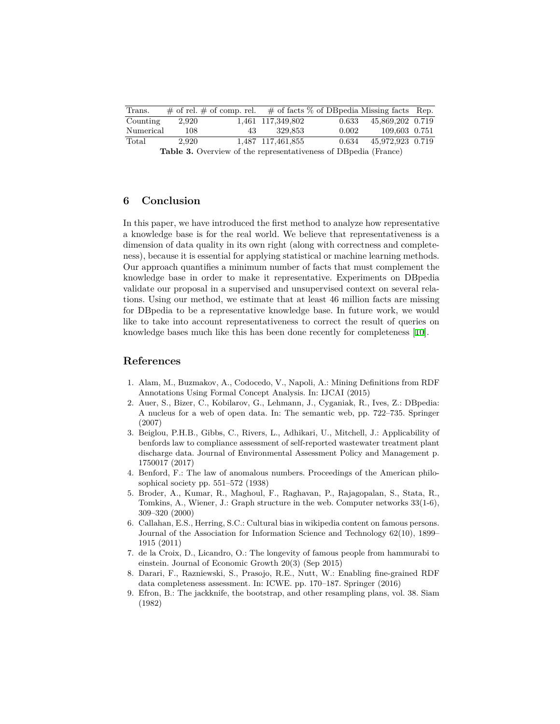| Trans.    |       | $\#$ of rel. $\#$ of comp. rel. | $\#$ of facts $\%$ of DB pedia Missing facts Rep. |            |                  |  |
|-----------|-------|---------------------------------|---------------------------------------------------|------------|------------------|--|
| Counting  | 2.920 |                                 | 1,461 117,349,802                                 | 0.633      | 45,869,202 0.719 |  |
| Numerical | 108   | 43.                             | 329.853                                           | 0.002      | 109,603 0.751    |  |
| Total     | 2.920 |                                 | 1,487 117,461,855                                 | 0.634      | 45,972,923 0.719 |  |
|           |       |                                 |                                                   | $c \sim 1$ |                  |  |

**Table 3.** Overview of the representativeness of DBpedia (France)

# **6 Conclusion**

In this paper, we have introduced the first method to analyze how representative a knowledge base is for the real world. We believe that representativeness is a dimension of data quality in its own right (along with correctness and completeness), because it is essential for applying statistical or machine learning methods. Our approach quantifies a minimum number of facts that must complement the knowledge base in order to make it representative. Experiments on DBpedia validate our proposal in a supervised and unsupervised context on several relations. Using our method, we estimate that at least 46 million facts are missing for DBpedia to be a representative knowledge base. In future work, we would like to take into account representativeness to correct the result of queries on knowledge bases much like this has been done recently for completeness [10].

# **References**

- 1. Alam, M., Buzmakov, A., Codocedo, V., Napoli, A.: Mining Definitions from RDF Annotations Using Formal Concept Analysis. In: IJCAI (2015)
- 2. Auer, S., Bizer, C., Kobilarov, G., Lehmann, J., Cyganiak, R., Ives, Z.: DBpedia: A nucleus for a web of open data. In: The semantic web, pp. 722–735. Springer (2007)
- 3. Beiglou, P.H.B., Gibbs, C., Rivers, L., Adhikari, U., Mitchell, J.: Applicability of benfords law to compliance assessment of self-reported wastewater treatment plant discharge data. Journal of Environmental Assessment Policy and Management p. 1750017 (2017)
- 4. Benford, F.: The law of anomalous numbers. Proceedings of the American philosophical society pp. 551–572 (1938)
- 5. Broder, A., Kumar, R., Maghoul, F., Raghavan, P., Rajagopalan, S., Stata, R., Tomkins, A., Wiener, J.: Graph structure in the web. Computer networks 33(1-6), 309–320 (2000)
- 6. Callahan, E.S., Herring, S.C.: Cultural bias in wikipedia content on famous persons. Journal of the Association for Information Science and Technology 62(10), 1899– 1915 (2011)
- 7. de la Croix, D., Licandro, O.: The longevity of famous people from hammurabi to einstein. Journal of Economic Growth 20(3) (Sep 2015)
- 8. Darari, F., Razniewski, S., Prasojo, R.E., Nutt, W.: Enabling fine-grained RDF data completeness assessment. In: ICWE. pp. 170–187. Springer (2016)
- 9. Efron, B.: The jackknife, the bootstrap, and other resampling plans, vol. 38. Siam (1982)